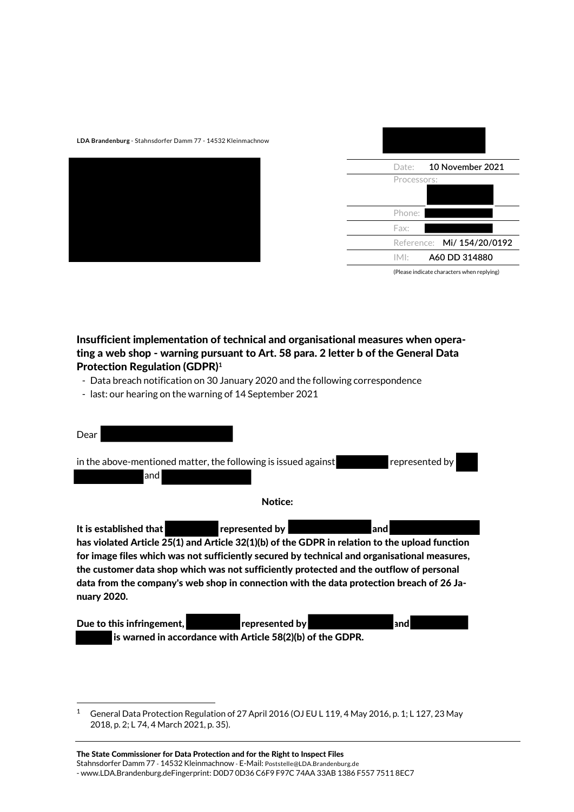**LDA Brandenburg** - Stahnsdorfer Damm 77 - 14532 Kleinmachnow



| Date:       | 10 November 2021           |  |
|-------------|----------------------------|--|
| Processors: |                            |  |
|             |                            |  |
| Phone:      |                            |  |
| Fax:        |                            |  |
|             | Reference: Mi/ 154/20/0192 |  |
| IME         | A60 DD 314880              |  |

(Please indicate characters when replying)

# Insufficient implementation of technical and organisational measures when operating a web shop - warning pursuant to Art. 58 para. 2 letter b of the General Data Protection Regulation (GDPR)**<sup>1</sup>**

- Data breach notification on 30 January 2020 and the following correspondence
- last: our hearing on the warning of 14 September 2021

| Dear                                                                                                                                                                                                                                                                                                                                                                                                                                                     |
|----------------------------------------------------------------------------------------------------------------------------------------------------------------------------------------------------------------------------------------------------------------------------------------------------------------------------------------------------------------------------------------------------------------------------------------------------------|
| in the above-mentioned matter, the following is issued against<br>represented by<br>land                                                                                                                                                                                                                                                                                                                                                                 |
| <b>Notice:</b>                                                                                                                                                                                                                                                                                                                                                                                                                                           |
| It is established that<br>represented by<br>andl<br>has violated Article 25(1) and Article 32(1)(b) of the GDPR in relation to the upload function<br>for image files which was not sufficiently secured by technical and organisational measures,<br>the customer data shop which was not sufficiently protected and the outflow of personal<br>data from the company's web shop in connection with the data protection breach of 26 Ja-<br>nuary 2020. |
| Due to this infringement,<br>represented by<br>and<br>is warned in accordance with Article 58(2)(b) of the GDPR.                                                                                                                                                                                                                                                                                                                                         |

.

<sup>&</sup>lt;sup>1</sup> General Data Protection Regulation of 27 April 2016 (OJ EU L 119, 4 May 2016, p. 1; L 127, 23 May 2018, p. 2; L 74, 4 March 2021, p. 35).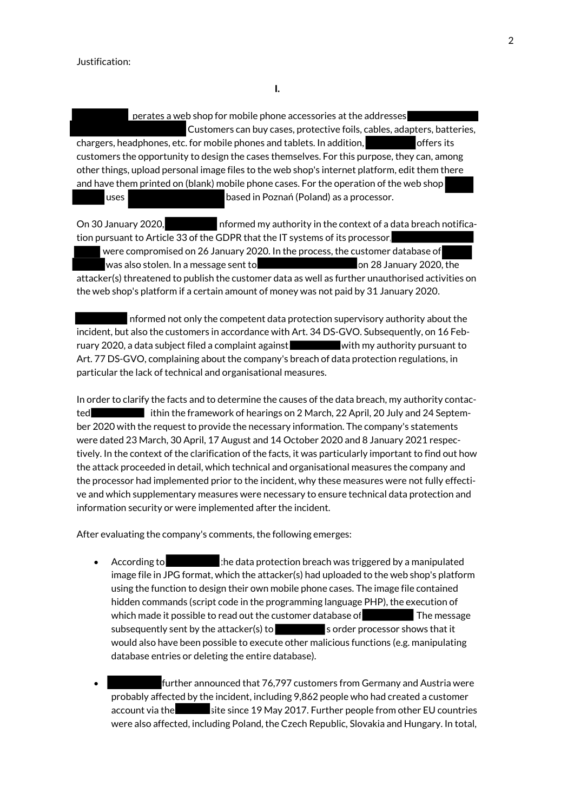perates a web shop for mobile phone accessories at the addresses Customers can buy cases, protective foils, cables, adapters, batteries, chargers, headphones, etc. for mobile phones and tablets. In addition, only offers its customers the opportunity to design the cases themselves. For this purpose, they can, among other things, upload personal image files to the web shop's internet platform, edit them there and have them printed on (blank) mobile phone cases. For the operation of the web shop, uses based in Poznań (Poland) as a processor.

On 30 January 2020, **informed my authority in the context of a data breach notifica**tion pursuant to Article 33 of the GDPR that the IT systems of its processor, were compromised on 26 January 2020. In the process, the customer database of was also stolen. In a message sent to **contain the sensus** on 28 January 2020, the attacker(s) threatened to publish the customer data as well as further unauthorised activities on the web shop's platform if a certain amount of money was not paid by 31 January 2020.

informed not only the competent data protection supervisory authority about the incident, but also the customers in accordance with Art. 34 DS-GVO. Subsequently, on 16 February 2020, a data subject filed a complaint against with my authority pursuant to Art. 77 DS-GVO, complaining about the company's breach of data protection regulations, in particular the lack of technical and organisational measures.

In order to clarify the facts and to determine the causes of the data breach, my authority contacted ithin the framework of hearings on 2 March, 22 April, 20 July and 24 September 2020 with the request to provide the necessary information. The company's statements were dated 23 March, 30 April, 17 August and 14 October 2020 and 8 January 2021 respectively. In the context of the clarification of the facts, it was particularly important to find out how the attack proceeded in detail, which technical and organisational measures the company and the processor had implemented prior to the incident, why these measures were not fully effective and which supplementary measures were necessary to ensure technical data protection and information security or were implemented after the incident.

After evaluating the company's comments, the following emerges:

- According to the data protection breach was triggered by a manipulated image file in JPG format, which the attacker(s) had uploaded to the web shop's platform using the function to design their own mobile phone cases. The image file contained hidden commands (script code in the programming language PHP), the execution of which made it possible to read out the customer database of The message subsequently sent by the attacker(s) to sorder processor shows that it would also have been possible to execute other malicious functions (e.g. manipulating database entries or deleting the entire database).
- further announced that 76,797 customers from Germany and Austria were probably affected by the incident, including 9,862 people who had created a customer account via the site since 19 May 2017. Further people from other EU countries were also affected, including Poland, the Czech Republic, Slovakia and Hungary. In total,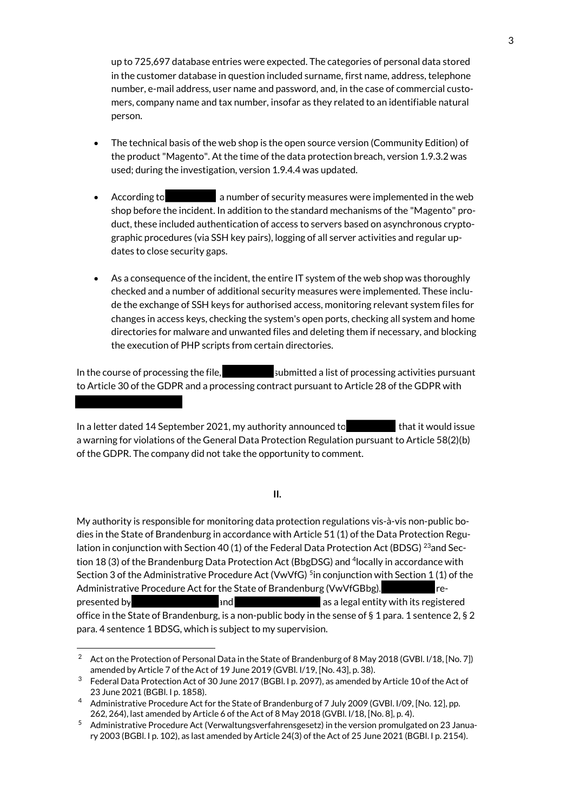up to 725,697 database entries were expected. The categories of personal data stored in the customer database in question included surname, first name, address, telephone number, e-mail address, user name and password, and, in the case of commercial customers, company name and tax number, insofar as they related to an identifiable natural person.

- The technical basis of the web shop is the open source version (Community Edition) of the product "Magento". At the time of the data protection breach, version 1.9.3.2 was used; during the investigation, version 1.9.4.4 was updated.
- According to **container in a number of security measures were implemented in the web** shop before the incident. In addition to the standard mechanisms of the "Magento" product, these included authentication of access to servers based on asynchronous cryptographic procedures (via SSH key pairs), logging of all server activities and regular updates to close security gaps.
- As a consequence of the incident, the entire IT system of the web shop was thoroughly checked and a number of additional security measures were implemented. These include the exchange of SSH keys for authorised access, monitoring relevant system files for changes in access keys, checking the system's open ports, checking all system and home directories for malware and unwanted files and deleting them if necessary, and blocking the execution of PHP scripts from certain directories.

In the course of processing the file, submitted a list of processing activities pursuant to Article 30 of the GDPR and a processing contract pursuant to Article 28 of the GDPR with

In a letter dated 14 September 2021, my authority announced to that it would issue a warning for violations of the General Data Protection Regulation pursuant to Article 58(2)(b) of the GDPR. The company did not take the opportunity to comment.

#### **II.**

My authority is responsible for monitoring data protection regulations vis-à-vis non-public bodies in the State of Brandenburg in accordance with Article 51 (1) of the Data Protection Regulation in conjunction with Section 40 (1) of the Federal Data Protection Act (BDSG) <sup>23</sup>and Section 18 (3) of the Brandenburg Data Protection Act (BbgDSG) and <sup>4</sup> locally in accordance with Section 3 of the Administrative Procedure Act (VwVfG) <sup>5</sup>in conjunction with Section 1 (1) of the Administrative Procedure Act for the State of Brandenburg (VwVfGBbg). The represented by **and** and and as a legal entity with its registered office in the State of Brandenburg, is a non-public body in the sense of § 1 para. 1 sentence 2, § 2 para. 4 sentence 1 BDSG, which is subject to my supervision.

.

<sup>&</sup>lt;sup>2</sup> Act on the Protection of Personal Data in the State of Brandenburg of 8 May 2018 (GVBI. I/18, [No. 7]) amended by Article 7 of the Act of 19 June 2019 (GVBl. I/19, [No. 43], p. 38).

<sup>3</sup> Federal Data Protection Act of 30 June 2017 (BGBl. I p. 2097), as amended by Article 10 of the Act of 23 June 2021 (BGBl. I p. 1858).

<sup>4</sup> Administrative Procedure Act for the State of Brandenburg of 7 July 2009 (GVBl. I/09, [No. 12], pp. 262, 264), last amended by Article 6 of the Act of 8 May 2018 (GVBl. I/18, [No. 8], p. 4).

<sup>5</sup> Administrative Procedure Act (Verwaltungsverfahrensgesetz) in the version promulgated on 23 January 2003 (BGBl. I p. 102), as last amended by Article 24(3) of the Act of 25 June 2021 (BGBl. I p. 2154).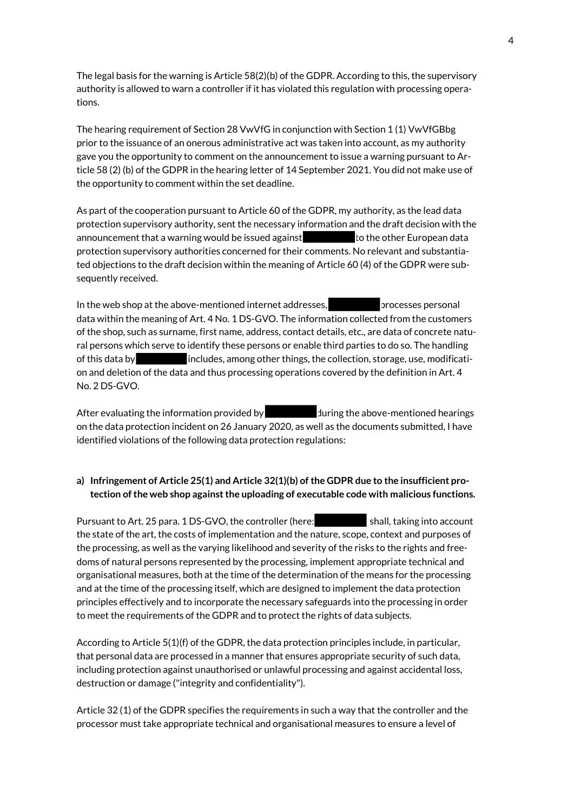The legal basis for the warning is Article 58(2)(b) of the GDPR. According to this, the supervisory authority is allowed to warn a controller if it has violated this regulation with processing operations.

The hearing requirement of Section 28 VwVfG in conjunction with Section 1 (1) VwVfGBbg prior to the issuance of an onerous administrative act was taken into account, as my authority gave you the opportunity to comment on the announcement to issue a warning pursuant to Article 58 (2) (b) of the GDPR in the hearing letter of 14 September 2021. You did not make use of the opportunity to comment within the set deadline.

As part of the cooperation pursuant to Article 60 of the GDPR, my authority, as the lead data protection supervisory authority, sent the necessary information and the draft decision with the announcement that a warning would be issued against the other European data protection supervisory authorities concerned for their comments. No relevant and substantiated objections to the draft decision within the meaning of Article 60 (4) of the GDPR were subsequently received.

In the web shop at the above-mentioned internet addresses, processes personal data within the meaning of Art. 4 No. 1 DS-GVO. The information collected from the customers of the shop, such as surname, first name, address, contact details, etc., are data of concrete natural persons which serve to identify these persons or enable third parties to do so. The handling of this data by includes, among other things, the collection, storage, use, modification and deletion of the data and thus processing operations covered by the definition in Art. 4 No. 2 DS-GVO.

After evaluating the information provided by during the above-mentioned hearings on the data protection incident on 26 January 2020, as well as the documents submitted, I have identified violations of the following data protection regulations:

# **a) Infringement of Article 25(1) and Article 32(1)(b) of the GDPR due to the insufficient protection of the web shop against the uploading of executable code with malicious functions.**

Pursuant to Art. 25 para. 1 DS-GVO, the controller (here: shall, taking into account the state of the art, the costs of implementation and the nature, scope, context and purposes of the processing, as well as the varying likelihood and severity of the risks to the rights and freedoms of natural persons represented by the processing, implement appropriate technical and organisational measures, both at the time of the determination of the means for the processing and at the time of the processing itself, which are designed to implement the data protection principles effectively and to incorporate the necessary safeguards into the processing in order to meet the requirements of the GDPR and to protect the rights of data subjects.

According to Article 5(1)(f) of the GDPR, the data protection principles include, in particular, that personal data are processed in a manner that ensures appropriate security of such data, including protection against unauthorised or unlawful processing and against accidental loss, destruction or damage ("integrity and confidentiality").

Article 32 (1) of the GDPR specifies the requirements in such a way that the controller and the processor must take appropriate technical and organisational measures to ensure a level of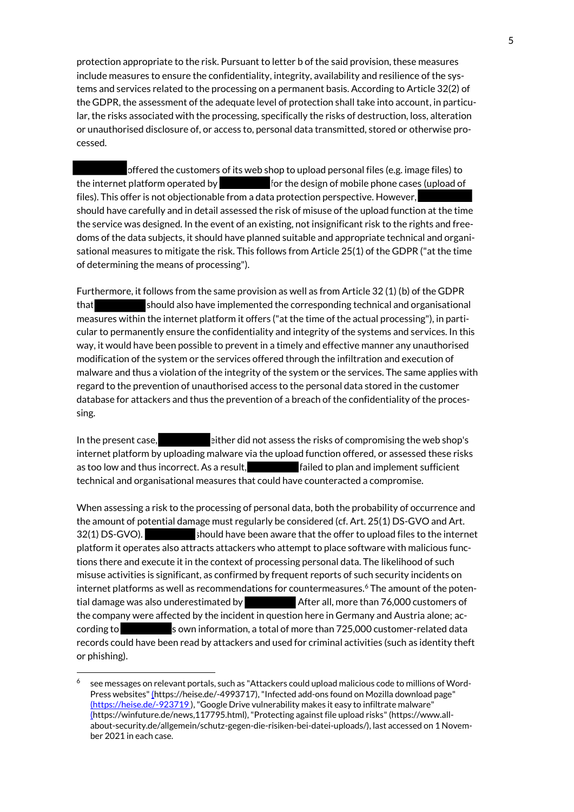protection appropriate to the risk. Pursuant to letter b of the said provision, these measures include measures to ensure the confidentiality, integrity, availability and resilience of the systems and services related to the processing on a permanent basis. According to Article 32(2) of the GDPR, the assessment of the adequate level of protection shall take into account, in particular, the risks associated with the processing, specifically the risks of destruction, loss, alteration or unauthorised disclosure of, or access to, personal data transmitted, stored or otherwise processed.

offered the customers of its web shop to upload personal files (e.g. image files) to the internet platform operated by for the design of mobile phone cases (upload of files). This offer is not objectionable from a data protection perspective. However, should have carefully and in detail assessed the risk of misuse of the upload function at the time the service was designed. In the event of an existing, not insignificant risk to the rights and freedoms of the data subjects, it should have planned suitable and appropriate technical and organisational measures to mitigate the risk. This follows from Article 25(1) of the GDPR ("at the time of determining the means of processing").

Furthermore, it follows from the same provision as well as from Article 32 (1) (b) of the GDPR that should also have implemented the corresponding technical and organisational measures within the internet platform it offers ("at the time of the actual processing"), in particular to permanently ensure the confidentiality and integrity of the systems and services. In this way, it would have been possible to prevent in a timely and effective manner any unauthorised modification of the system or the services offered through the infiltration and execution of malware and thus a violation of the integrity of the system or the services. The same applies with regard to the prevention of unauthorised access to the personal data stored in the customer database for attackers and thus the prevention of a breach of the confidentiality of the processing.

In the present case, either did not assess the risks of compromising the web shop's internet platform by uploading malware via the upload function offered, or assessed these risks as too low and thus incorrect. As a result, **failed to plan and implement sufficient** technical and organisational measures that could have counteracted a compromise.

When assessing a risk to the processing of personal data, both the probability of occurrence and the amount of potential damage must regularly be considered (cf. Art. 25(1) DS-GVO and Art. 32(1) DS-GVO). should have been aware that the offer to upload files to the internet platform it operates also attracts attackers who attempt to place software with malicious functions there and execute it in the context of processing personal data. The likelihood of such misuse activities is significant, as confirmed by frequent reports of such security incidents on internet platforms as well as recommendations for countermeasures.<sup>6</sup> The amount of the potential damage was also underestimated by After all, more than 76,000 customers of the company were affected by the incident in question here in Germany and Austria alone; according to sown information, a total of more than 725,000 customer-related data records could have been read by attackers and used for criminal activities (such as identity theft or phishing).

.

<sup>6</sup> see messages on relevant portals, such as "Attackers could upload malicious code to millions of Word-Press websites[" \(h](https://heise.de/-4993717)ttps://heise.de/-4993717), "Infected add-ons found on Mozilla download page" [\(https://heise.de/-923719 \)](https://heise.de/-923719), "Google Drive vulnerability makes it easy to infiltrate malware" [\(h](https://winfuture.de/news,117795.html)ttps://winfuture.de/news,117795.html), "Protecting against file upload risks" (https://www.allabout-security.de/allgemein/schutz-gegen-die-risiken-bei-datei-uploads/), last accessed on 1 November 2021 in each case.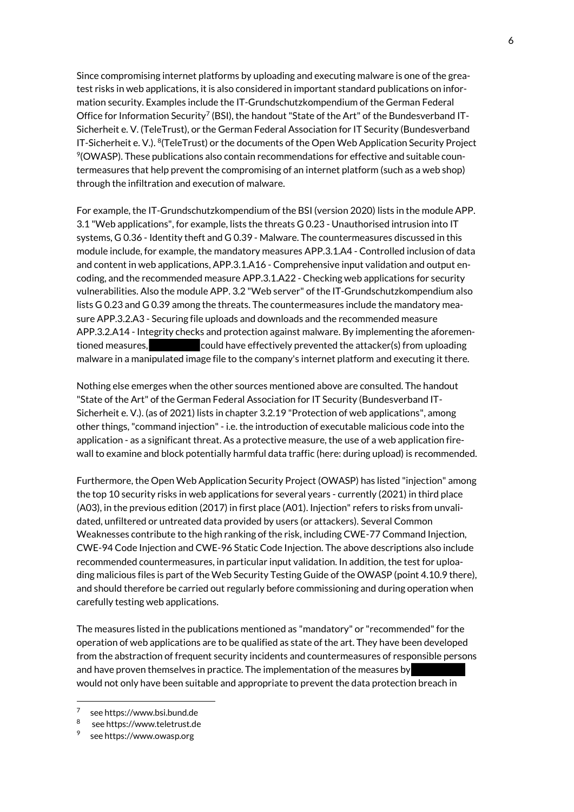Since compromising internet platforms by uploading and executing malware is one of the greatest risks in web applications, it is also considered in important standard publications on information security. Examples include the IT-Grundschutzkompendium of the German Federal Office for Information Security $^7$  (BSI), the handout "State of the Art" of the Bundesverband IT-Sicherheit e. V. (TeleTrust), or the German Federal Association for IT Security (Bundesverband IT-Sicherheit e. V.). <sup>8</sup>(TeleTrust) or the documents of the Open Web Application Security Project  $\%$ (OWASP). These publications also contain recommendations for effective and suitable countermeasures that help prevent the compromising of an internet platform (such as a web shop) through the infiltration and execution of malware.

For example, the IT-Grundschutzkompendium of the BSI (version 2020) lists in the module APP. 3.1 "Web applications", for example, lists the threats G 0.23 - Unauthorised intrusion into IT systems, G 0.36 - Identity theft and G 0.39 - Malware. The countermeasures discussed in this module include, for example, the mandatory measures APP.3.1.A4 - Controlled inclusion of data and content in web applications, APP.3.1.A16 - Comprehensive input validation and output encoding, and the recommended measure APP.3.1.A22 - Checking web applications for security vulnerabilities. Also the module APP. 3.2 "Web server" of the IT-Grundschutzkompendium also lists G 0.23 and G 0.39 among the threats. The countermeasures include the mandatory measure APP.3.2.A3 - Securing file uploads and downloads and the recommended measure APP.3.2.A14 - Integrity checks and protection against malware. By implementing the aforementioned measures, could have effectively prevented the attacker(s) from uploading malware in a manipulated image file to the company's internet platform and executing it there.

Nothing else emerges when the other sources mentioned above are consulted. The handout "State of the Art" of the German Federal Association for IT Security (Bundesverband IT-Sicherheit e. V.). (as of 2021) lists in chapter 3.2.19 "Protection of web applications", among other things, "command injection" - i.e. the introduction of executable malicious code into the application - as a significant threat. As a protective measure, the use of a web application firewall to examine and block potentially harmful data traffic (here: during upload) is recommended.

Furthermore, the Open Web Application Security Project (OWASP) has listed "injection" among the top 10 security risks in web applications for several years - currently (2021) in third place (A03), in the previous edition (2017) in first place (A01). Injection" refers to risks from unvalidated, unfiltered or untreated data provided by users (or attackers). Several Common Weaknesses contribute to the high ranking of the risk, including CWE-77 Command Injection, CWE-94 Code Injection and CWE-96 Static Code Injection. The above descriptions also include recommended countermeasures, in particular input validation. In addition, the test for uploading malicious files is part of the Web Security Testing Guide of the OWASP (point 4.10.9 there), and should therefore be carried out regularly before commissioning and during operation when carefully testing web applications.

The measures listed in the publications mentioned as "mandatory" or "recommended" for the operation of web applications are to be qualified as state of the art. They have been developed from the abstraction of frequent security incidents and countermeasures of responsible persons and have proven themselves in practice. The implementation of the measures by would not only have been suitable and appropriate to prevent the data protection breach in

1

<sup>7</sup> see https://www.bsi.bund.de

<sup>8</sup> see https://www.teletrust.de

<sup>9</sup> see https://www.owasp.org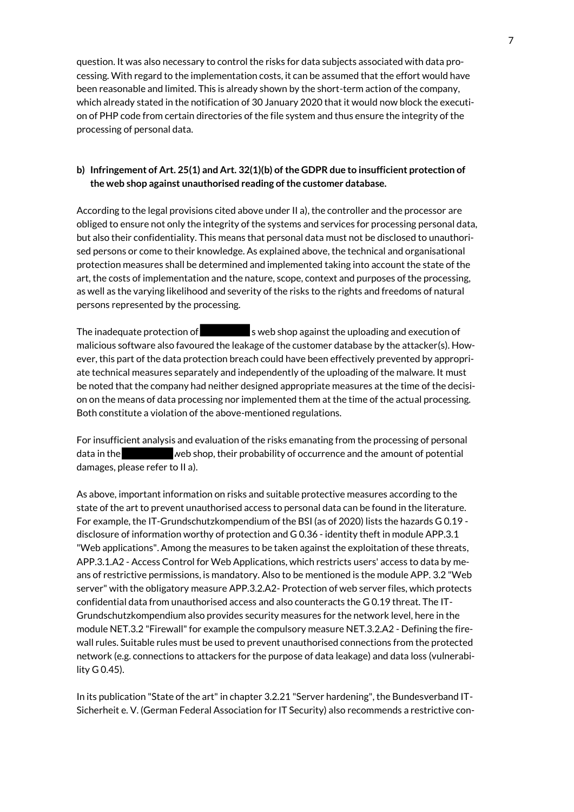question. It was also necessary to control the risks for data subjects associated with data processing. With regard to the implementation costs, it can be assumed that the effort would have been reasonable and limited. This is already shown by the short-term action of the company, which already stated in the notification of 30 January 2020 that it would now block the execution of PHP code from certain directories of the file system and thus ensure the integrity of the processing of personal data.

# **b) Infringement of Art. 25(1) and Art. 32(1)(b) of the GDPR due to insufficient protection of the web shop against unauthorised reading of the customer database.**

According to the legal provisions cited above under II a), the controller and the processor are obliged to ensure not only the integrity of the systems and services for processing personal data, but also their confidentiality. This means that personal data must not be disclosed to unauthorised persons or come to their knowledge. As explained above, the technical and organisational protection measures shall be determined and implemented taking into account the state of the art, the costs of implementation and the nature, scope, context and purposes of the processing, as well as the varying likelihood and severity of the risks to the rights and freedoms of natural persons represented by the processing.

The inadequate protection of  $\Box$  sweb shop against the uploading and execution of malicious software also favoured the leakage of the customer database by the attacker(s). However, this part of the data protection breach could have been effectively prevented by appropriate technical measures separately and independently of the uploading of the malware. It must be noted that the company had neither designed appropriate measures at the time of the decision on the means of data processing nor implemented them at the time of the actual processing. Both constitute a violation of the above-mentioned regulations.

For insufficient analysis and evaluation of the risks emanating from the processing of personal data in the web shop, their probability of occurrence and the amount of potential damages, please refer to II a).

As above, important information on risks and suitable protective measures according to the state of the art to prevent unauthorised access to personal data can be found in the literature. For example, the IT-Grundschutzkompendium of the BSI (as of 2020) lists the hazards G 0.19 disclosure of information worthy of protection and G 0.36 - identity theft in module APP.3.1 "Web applications". Among the measures to be taken against the exploitation of these threats, APP.3.1.A2 - Access Control for Web Applications, which restricts users' access to data by means of restrictive permissions, is mandatory. Also to be mentioned is the module APP. 3.2 "Web server" with the obligatory measure APP.3.2.A2- Protection of web server files, which protects confidential data from unauthorised access and also counteracts the G 0.19 threat. The IT-Grundschutzkompendium also provides security measures for the network level, here in the module NET.3.2 "Firewall" for example the compulsory measure NET.3.2.A2 - Defining the firewall rules. Suitable rules must be used to prevent unauthorised connections from the protected network (e.g. connections to attackers for the purpose of data leakage) and data loss (vulnerability G 0.45).

In its publication "State of the art" in chapter 3.2.21 "Server hardening", the Bundesverband IT-Sicherheit e. V. (German Federal Association for IT Security) also recommends a restrictive con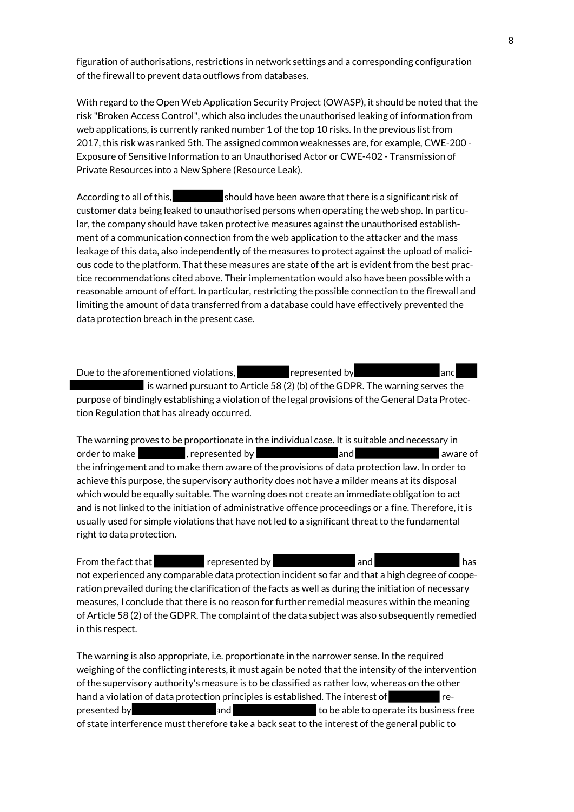figuration of authorisations, restrictions in network settings and a corresponding configuration of the firewall to prevent data outflows from databases.

With regard to the Open Web Application Security Project (OWASP), it should be noted that the risk "Broken Access Control", which also includes the unauthorised leaking of information from web applications, is currently ranked number 1 of the top 10 risks. In the previous list from 2017, this risk was ranked 5th. The assigned common weaknesses are, for example, CWE-200 - Exposure of Sensitive Information to an Unauthorised Actor or CWE-402 - Transmission of Private Resources into a New Sphere (Resource Leak).

According to all of this, should have been aware that there is a significant risk of customer data being leaked to unauthorised persons when operating the web shop. In particular, the company should have taken protective measures against the unauthorised establishment of a communication connection from the web application to the attacker and the mass leakage of this data, also independently of the measures to protect against the upload of malicious code to the platform. That these measures are state of the art is evident from the best practice recommendations cited above. Their implementation would also have been possible with a reasonable amount of effort. In particular, restricting the possible connection to the firewall and limiting the amount of data transferred from a database could have effectively prevented the data protection breach in the present case.

Due to the aforementioned violations, example presented by and and and and  $\overline{\phantom{a}}$ is warned pursuant to Article 58 (2) (b) of the GDPR. The warning serves the purpose of bindingly establishing a violation of the legal provisions of the General Data Protection Regulation that has already occurred.

The warning proves to be proportionate in the individual case. It is suitable and necessary in<br>order to make **the contract of the contract of the contract of the contract of the contract of the contract of** order to make  $\begin{array}{ccc} \bullet, & \bullet, & \bullet, \\ \bullet, & \bullet, & \bullet \end{array}$  represented by a set and aware of the infringement and to make them aware of the provisions of data protection law. In order to achieve this purpose, the supervisory authority does not have a milder means at its disposal which would be equally suitable. The warning does not create an immediate obligation to act and is not linked to the initiation of administrative offence proceedings or a fine. Therefore, it is usually used for simple violations that have not led to a significant threat to the fundamental right to data protection.

From the fact that represented by and and has not experienced any comparable data protection incident so far and that a high degree of cooperation prevailed during the clarification of the facts as well as during the initiation of necessary measures, I conclude that there is no reason for further remedial measures within the meaning of Article 58 (2) of the GDPR. The complaint of the data subject was also subsequently remedied in this respect.

The warning is also appropriate, i.e. proportionate in the narrower sense. In the required weighing of the conflicting interests, it must again be noted that the intensity of the intervention of the supervisory authority's measure is to be classified as rather low, whereas on the other hand a violation of data protection principles is established. The interest of represented by **and** and to be able to operate its business free of state interference must therefore take a back seat to the interest of the general public to